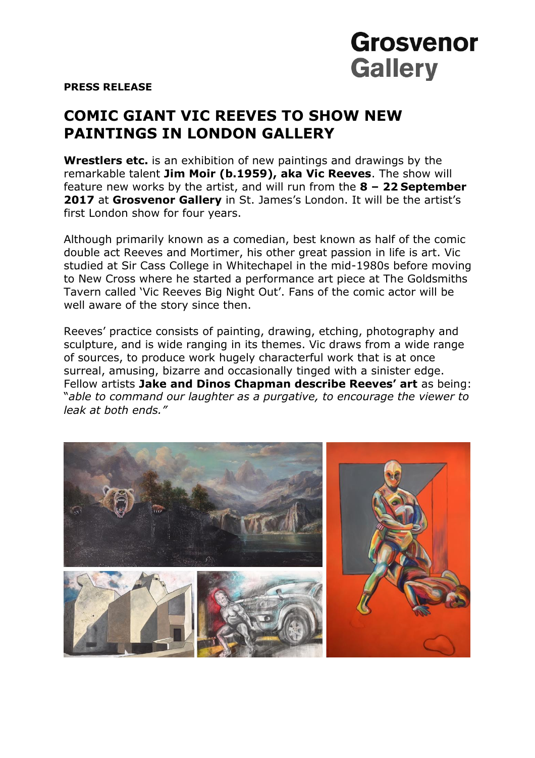## **Grosvenor Gallery**

**PRESS RELEASE**

## **COMIC GIANT VIC REEVES TO SHOW NEW PAINTINGS IN LONDON GALLERY**

**Wrestlers etc.** is an exhibition of new paintings and drawings by the remarkable talent **Jim Moir (b.1959), aka Vic Reeves**. The show will feature new works by the artist, and will run from the **8 – 22 September 2017** at **Grosvenor Gallery** in St. James's London. It will be the artist's first London show for four years.

Although primarily known as a comedian, best known as half of the comic double act Reeves and Mortimer, his other great passion in life is art. Vic studied at Sir Cass College in Whitechapel in the mid-1980s before moving to New Cross where he started a performance art piece at The Goldsmiths Tavern called 'Vic Reeves Big Night Out'. Fans of the comic actor will be well aware of the story since then.

Reeves' practice consists of painting, drawing, etching, photography and sculpture, and is wide ranging in its themes. Vic draws from a wide range of sources, to produce work hugely characterful work that is at once surreal, amusing, bizarre and occasionally tinged with a sinister edge. Fellow artists **Jake and Dinos Chapman describe Reeves' art** as being: "*able to command our laughter as a purgative, to encourage the viewer to leak at both ends."*